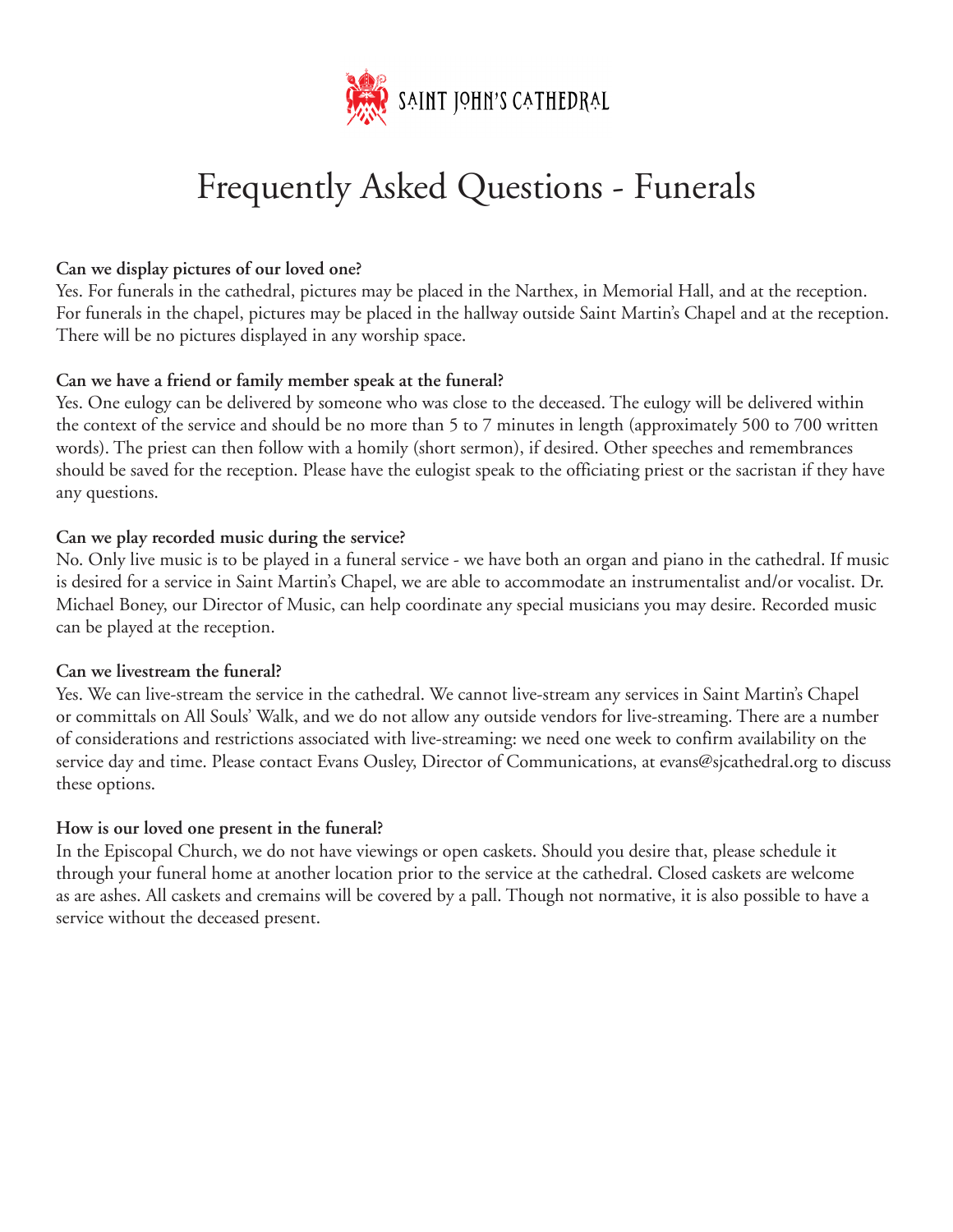

# Frequently Asked Questions - Funerals

### **Can we display pictures of our loved one?**

Yes. For funerals in the cathedral, pictures may be placed in the Narthex, in Memorial Hall, and at the reception. For funerals in the chapel, pictures may be placed in the hallway outside Saint Martin's Chapel and at the reception. There will be no pictures displayed in any worship space.

# **Can we have a friend or family member speak at the funeral?**

Yes. One eulogy can be delivered by someone who was close to the deceased. The eulogy will be delivered within the context of the service and should be no more than 5 to 7 minutes in length (approximately 500 to 700 written words). The priest can then follow with a homily (short sermon), if desired. Other speeches and remembrances should be saved for the reception. Please have the eulogist speak to the officiating priest or the sacristan if they have any questions.

# **Can we play recorded music during the service?**

No. Only live music is to be played in a funeral service - we have both an organ and piano in the cathedral. If music is desired for a service in Saint Martin's Chapel, we are able to accommodate an instrumentalist and/or vocalist. Dr. Michael Boney, our Director of Music, can help coordinate any special musicians you may desire. Recorded music can be played at the reception.

### **Can we livestream the funeral?**

Yes. We can live-stream the service in the cathedral. We cannot live-stream any services in Saint Martin's Chapel or committals on All Souls' Walk, and we do not allow any outside vendors for live-streaming. There are a number of considerations and restrictions associated with live-streaming: we need one week to confirm availability on the service day and time. Please contact Evans Ousley, Director of Communications, at evans@sjcathedral.org to discuss these options.

### **How is our loved one present in the funeral?**

In the Episcopal Church, we do not have viewings or open caskets. Should you desire that, please schedule it through your funeral home at another location prior to the service at the cathedral. Closed caskets are welcome as are ashes. All caskets and cremains will be covered by a pall. Though not normative, it is also possible to have a service without the deceased present.